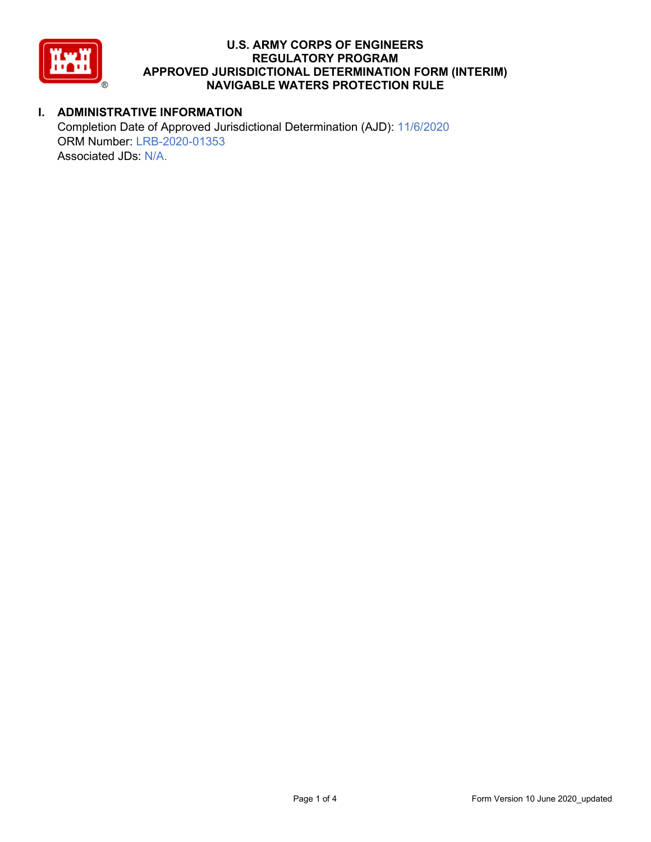

# **I. ADMINISTRATIVE INFORMATION**

Completion Date of Approved Jurisdictional Determination (AJD): 11/6/2020 ORM Number: LRB-2020-01353 Associated JDs: N/A.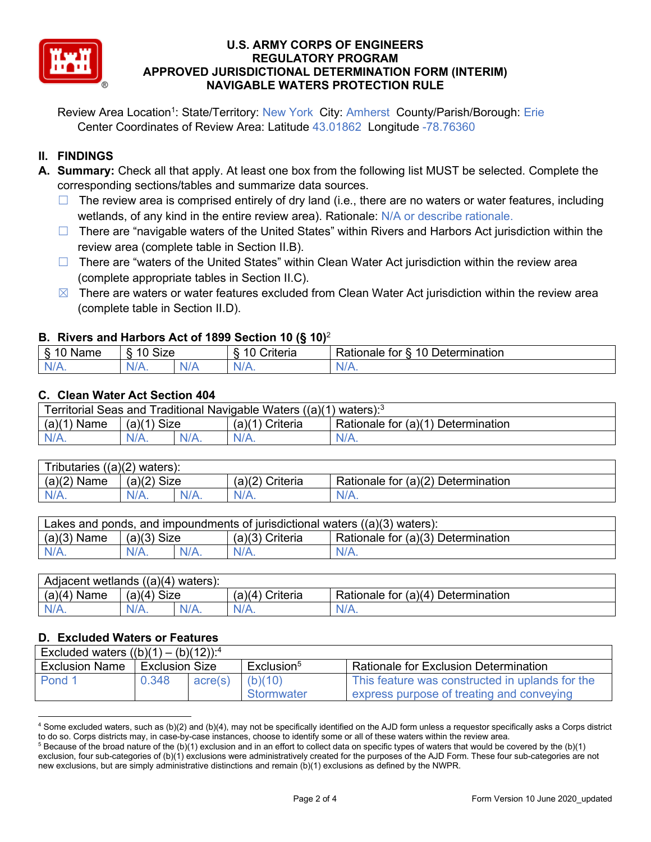

Review Area Location<sup>1</sup>: State/Territory: New York City: Amherst County/Parish/Borough: Erie Center Coordinates of Review Area: Latitude 43.01862 Longitude -78.76360

## **II. FINDINGS**

- **A. Summary:** Check all that apply. At least one box from the following list MUST be selected. Complete the corresponding sections/tables and summarize data sources.
	- $\Box$  The review area is comprised entirely of dry land (i.e., there are no waters or water features, including wetlands, of any kind in the entire review area). Rationale: N/A or describe rationale.
	- $\Box$  There are "navigable waters of the United States" within Rivers and Harbors Act jurisdiction within the review area (complete table in Section II.B).
	- ☐ There are "waters of the United States" within Clean Water Act jurisdiction within the review area (complete appropriate tables in Section II.C).
	- $\boxtimes$  There are waters or water features excluded from Clean Water Act jurisdiction within the review area (complete table in Section II.D).

### **B. Rivers and Harbors Act of 1899 Section 10 (§ 10)**<sup>2</sup>

| N <sub>I</sub> n <sub>n</sub> | ି <sup>ର</sup> ାંz≙ା<br>ס∠וכ |                     | $\sim$ $\sim$<br>`riteria | 10<br>$\overline{\phantom{0}}$<br>∽<br>)etermination<br>Rationale<br>tor |
|-------------------------------|------------------------------|---------------------|---------------------------|--------------------------------------------------------------------------|
| $N/A$ .                       | $N/A$ .                      | NJ.<br>$\mathbf{v}$ | NL.<br><b>MII</b>         | VII.                                                                     |

#### **C. Clean Water Act Section 404**

| Territorial Seas and Traditional Navigable Waters $((a)(1)$ waters): <sup>3</sup> |               |         |                   |                                    |  |  |
|-----------------------------------------------------------------------------------|---------------|---------|-------------------|------------------------------------|--|--|
| (a)(1)<br>Name                                                                    | $(a)(1)$ Size |         | $(a)(1)$ Criteria | Rationale for (a)(1) Determination |  |  |
| $N/A$ .                                                                           | $N/A$ .       | $N/A$ . | $N/A$ .           | $N/A$ .                            |  |  |

| Tributaries $((a)(2)$ waters): |                |         |                    |                                    |  |  |
|--------------------------------|----------------|---------|--------------------|------------------------------------|--|--|
| $(a)(2)$ Name                  | (a)(2)<br>Size |         | (a)(2)<br>Criteria | Rationale for (a)(2) Determination |  |  |
| $N/A$ .                        | $N/A$ .        | $N/A$ . | $N/A$ .            | N/A.                               |  |  |

| Lakes and ponds, and impoundments of jurisdictional waters ((a)(3) waters): |               |  |                 |                                                 |  |  |
|-----------------------------------------------------------------------------|---------------|--|-----------------|-------------------------------------------------|--|--|
| $(a)(3)$ Name                                                               | $(a)(3)$ Size |  | (a)(3) Criteria | <sup>1</sup> Rationale for (a)(3) Determination |  |  |
| $N/A$ .                                                                     | $N/A$ .       |  | $N/A$ .         | $N/A$ .                                         |  |  |

| Adjacent wetlands $((a)(4)$ waters): |               |  |                   |                                    |  |  |
|--------------------------------------|---------------|--|-------------------|------------------------------------|--|--|
| $(a)(4)$ Name                        | $(a)(4)$ Size |  | $(a)(4)$ Criteria | Rationale for (a)(4) Determination |  |  |
|                                      | $N/A$ .       |  | $N/A$ .           | $N/A$ .                            |  |  |

#### **D. Excluded Waters or Features**

| Excluded waters $((b)(1) - (b)(12))$ : <sup>4</sup> |                |         |                        |                                                 |  |
|-----------------------------------------------------|----------------|---------|------------------------|-------------------------------------------------|--|
| <b>Exclusion Name</b>                               | Exclusion Size |         | Exclusion <sup>5</sup> | <b>Rationale for Exclusion Determination</b>    |  |
| Pond 1                                              | 0.348          | acre(s) | (b)(10)                | This feature was constructed in uplands for the |  |
|                                                     |                |         | Stormwater             | express purpose of treating and conveying       |  |

 $4$  Some excluded waters, such as (b)(2) and (b)(4), may not be specifically identified on the AJD form unless a requestor specifically asks a Corps district to do so. Corps districts may, in case-by-case instances, choose to identify some or all of these waters within the review area.

 $5$  Because of the broad nature of the (b)(1) exclusion and in an effort to collect data on specific types of waters that would be covered by the (b)(1) exclusion, four sub-categories of (b)(1) exclusions were administratively created for the purposes of the AJD Form. These four sub-categories are not new exclusions, but are simply administrative distinctions and remain (b)(1) exclusions as defined by the NWPR.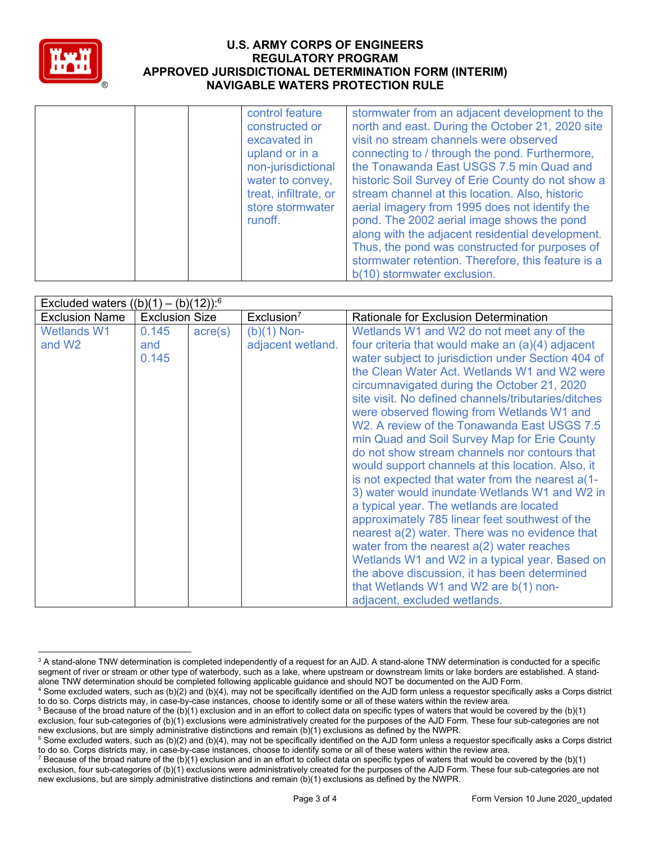

| control feature<br>constructed or<br>excavated in<br>upland or in a<br>non-jurisdictional<br>water to convey,<br>treat, infiltrate, or<br>store stormwater<br>runoff. | stormwater from an adjacent development to the<br>north and east. During the October 21, 2020 site<br>visit no stream channels were observed<br>connecting to / through the pond. Furthermore,<br>the Tonawanda East USGS 7.5 min Quad and<br>historic Soil Survey of Erie County do not show a<br>stream channel at this location. Also, historic<br>aerial imagery from 1995 does not identify the<br>pond. The 2002 aerial image shows the pond<br>along with the adjacent residential development.<br>Thus, the pond was constructed for purposes of<br>stormwater retention. Therefore, this feature is a<br>b(10) stormwater exclusion. |
|-----------------------------------------------------------------------------------------------------------------------------------------------------------------------|-----------------------------------------------------------------------------------------------------------------------------------------------------------------------------------------------------------------------------------------------------------------------------------------------------------------------------------------------------------------------------------------------------------------------------------------------------------------------------------------------------------------------------------------------------------------------------------------------------------------------------------------------|
|-----------------------------------------------------------------------------------------------------------------------------------------------------------------------|-----------------------------------------------------------------------------------------------------------------------------------------------------------------------------------------------------------------------------------------------------------------------------------------------------------------------------------------------------------------------------------------------------------------------------------------------------------------------------------------------------------------------------------------------------------------------------------------------------------------------------------------------|

| Excluded waters $((b)(1) - (b)(12))$ : <sup>6</sup> |                       |                  |                        |                                                     |  |  |
|-----------------------------------------------------|-----------------------|------------------|------------------------|-----------------------------------------------------|--|--|
| <b>Exclusion Name</b>                               | <b>Exclusion Size</b> |                  | Exclusion <sup>7</sup> | <b>Rationale for Exclusion Determination</b>        |  |  |
| <b>Wetlands W1</b>                                  | 0.145                 | $\text{acre}(s)$ | $(b)(1)$ Non-          | Wetlands W1 and W2 do not meet any of the           |  |  |
| and W <sub>2</sub>                                  | and                   |                  | adjacent wetland.      | four criteria that would make an (a)(4) adjacent    |  |  |
|                                                     | 0.145                 |                  |                        | water subject to jurisdiction under Section 404 of  |  |  |
|                                                     |                       |                  |                        | the Clean Water Act. Wetlands W1 and W2 were        |  |  |
|                                                     |                       |                  |                        | circumnavigated during the October 21, 2020         |  |  |
|                                                     |                       |                  |                        | site visit. No defined channels/tributaries/ditches |  |  |
|                                                     |                       |                  |                        | were observed flowing from Wetlands W1 and          |  |  |
|                                                     |                       |                  |                        | W2. A review of the Tonawanda East USGS 7.5         |  |  |
|                                                     |                       |                  |                        | min Quad and Soil Survey Map for Erie County        |  |  |
|                                                     |                       |                  |                        | do not show stream channels nor contours that       |  |  |
|                                                     |                       |                  |                        | would support channels at this location. Also, it   |  |  |
|                                                     |                       |                  |                        | is not expected that water from the nearest a(1-    |  |  |
|                                                     |                       |                  |                        | 3) water would inundate Wetlands W1 and W2 in       |  |  |
|                                                     |                       |                  |                        | a typical year. The wetlands are located            |  |  |
|                                                     |                       |                  |                        | approximately 785 linear feet southwest of the      |  |  |
|                                                     |                       |                  |                        | nearest a(2) water. There was no evidence that      |  |  |
|                                                     |                       |                  |                        | water from the nearest $a(2)$ water reaches         |  |  |
|                                                     |                       |                  |                        | Wetlands W1 and W2 in a typical year. Based on      |  |  |
|                                                     |                       |                  |                        | the above discussion, it has been determined        |  |  |
|                                                     |                       |                  |                        | that Wetlands W1 and W2 are b(1) non-               |  |  |
|                                                     |                       |                  |                        | adjacent, excluded wetlands.                        |  |  |

<sup>&</sup>lt;sup>3</sup> A stand-alone TNW determination is completed independently of a request for an AJD. A stand-alone TNW determination is conducted for a specific segment of river or stream or other type of waterbody, such as a lake, where upstream or downstream limits or lake borders are established. A standalone TNW determination should be completed following applicable guidance and should NOT be documented on the AJD Form.

<sup>4</sup> Some excluded waters, such as (b)(2) and (b)(4), may not be specifically identified on the AJD form unless a requestor specifically asks a Corps district to do so. Corps districts may, in case-by-case instances, choose to identify some or all of these waters within the review area.

<sup>&</sup>lt;sup>5</sup> Because of the broad nature of the (b)(1) exclusion and in an effort to collect data on specific types of waters that would be covered by the (b)(1) exclusion, four sub-categories of (b)(1) exclusions were administratively created for the purposes of the AJD Form. These four sub-categories are not new exclusions, but are simply administrative distinctions and remain (b)(1) exclusions as defined by the NWPR.

<sup>&</sup>lt;sup>6</sup> Some excluded waters, such as (b)(2) and (b)(4), may not be specifically identified on the AJD form unless a requestor specifically asks a Corps district to do so. Corps districts may, in case-by-case instances, choose to identify some or all of these waters within the review area.

<sup>&</sup>lt;sup>7</sup> Because of the broad nature of the (b)(1) exclusion and in an effort to collect data on specific types of waters that would be covered by the (b)(1) exclusion, four sub-categories of (b)(1) exclusions were administratively created for the purposes of the AJD Form. These four sub-categories are not new exclusions, but are simply administrative distinctions and remain (b)(1) exclusions as defined by the NWPR.